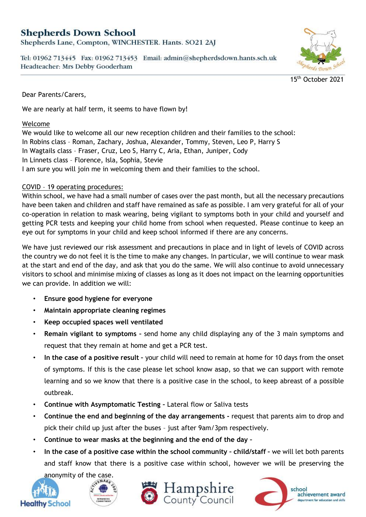# **Shepherds Down School**

Shepherds Lane, Compton, WINCHESTER. Hants. SO21 2AJ

Tel: 01962 713445 Fax: 01962 713453 Email: admin@shepherdsdown.hants.sch.uk Headteacher: Mrs Debby Gooderham



15<sup>th</sup> October 2021

Dear Parents/Carers,

We are nearly at half term, it seems to have flown by!

#### Welcome

We would like to welcome all our new reception children and their families to the school: In Robins class – Roman, Zachary, Joshua, Alexander, Tommy, Steven, Leo P, Harry S In Wagtails class – Fraser, Cruz, Leo S, Harry C, Aria, Ethan, Juniper, Cody In Linnets class – Florence, Isla, Sophia, Stevie I am sure you will join me in welcoming them and their families to the school.

# COVID – 19 operating procedures:

Within school, we have had a small number of cases over the past month, but all the necessary precautions have been taken and children and staff have remained as safe as possible. I am very grateful for all of your co-operation in relation to mask wearing, being vigilant to symptoms both in your child and yourself and getting PCR tests and keeping your child home from school when requested. Please continue to keep an eye out for symptoms in your child and keep school informed if there are any concerns.

We have just reviewed our risk assessment and precautions in place and in light of levels of COVID across the country we do not feel it is the time to make any changes. In particular, we will continue to wear mask at the start and end of the day, and ask that you do the same. We will also continue to avoid unnecessary visitors to school and minimise mixing of classes as long as it does not impact on the learning opportunities we can provide. In addition we will:

- **Ensure good hygiene for everyone**
- **Maintain appropriate cleaning regimes**
- **Keep occupied spaces well ventilated**
- **Remain vigilant to symptoms –** send home any child displaying any of the 3 main symptoms and request that they remain at home and get a PCR test.
- **In the case of a positive result –** your child will need to remain at home for 10 days from the onset of symptoms. If this is the case please let school know asap, so that we can support with remote learning and so we know that there is a positive case in the school, to keep abreast of a possible outbreak.
- **Continue with Asymptomatic Testing –** Lateral flow or Saliva tests
- **Continue the end and beginning of the day arrangements -** request that parents aim to drop and pick their child up just after the buses – just after 9am/3pm respectively.
- **Continue to wear masks at the beginning and the end of the day –**
- **In the case of a positive case within the school community – child/staff –** we will let both parents and staff know that there is a positive case within school, however we will be preserving the







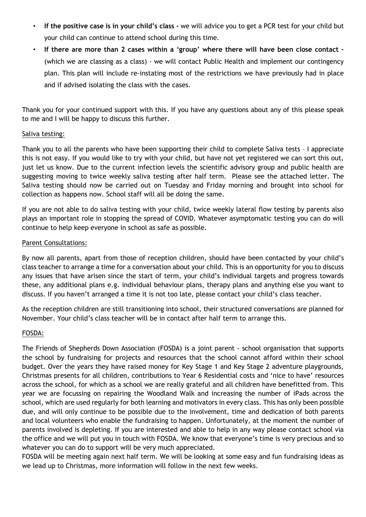- **If the positive case is in your child's class -** we will advice you to get a PCR test for your child but your child can continue to attend school during this time.
- **If there are more than 2 cases within a 'group' where there will have been close contact –** (which we are classing as a class) - we will contact Public Health and implement our contingency plan. This plan will include re-instating most of the restrictions we have previously had in place and if advised isolating the class with the cases.

Thank you for your continued support with this. If you have any questions about any of this please speak to me and I will be happy to discuss this further.

### Saliva testing:

Thank you to all the parents who have been supporting their child to complete Saliva tests – I appreciate this is not easy. If you would like to try with your child, but have not yet registered we can sort this out, just let us know. Due to the current infection levels the scientific advisory group and public health are suggesting moving to twice weekly saliva testing after half term. Please see the attached letter. The Saliva testing should now be carried out on Tuesday and Friday morning and brought into school for collection as happens now. School staff will all be doing the same.

If you are not able to do saliva testing with your child, twice weekly lateral flow testing by parents also plays an important role in stopping the spread of COVID. Whatever asymptomatic testing you can do will continue to help keep everyone in school as safe as possible.

### Parent Consultations:

By now all parents, apart from those of reception children, should have been contacted by your child's class teacher to arrange a time for a conversation about your child. This is an opportunity for you to discuss any issues that have arisen since the start of term, your child's individual targets and progress towards these, any additional plans e.g. individual behaviour plans, therapy plans and anything else you want to discuss. If you haven't arranged a time it is not too late, please contact your child's class teacher.

As the reception children are still transitioning into school, their structured conversations are planned for November. Your child's class teacher will be in contact after half term to arrange this.

# FOSDA:

The Friends of Shepherds Down Association (FOSDA) is a joint parent - school organisation that supports the school by fundraising for projects and resources that the school cannot afford within their school budget. Over the years they have raised money for Key Stage 1 and Key Stage 2 adventure playgrounds, Christmas presents for all children, contributions to Year 6 Residential costs and 'nice to have' resources across the school, for which as a school we are really grateful and all children have benefitted from. This year we are focussing on repairing the Woodland Walk and increasing the number of iPads across the school, which are used regularly for both learning and motivators in every class. This has only been possible due, and will only continue to be possible due to the involvement, time and dedication of both parents and local volunteers who enable the fundraising to happen. Unfortunately, at the moment the number of parents involved is depleting. If you are interested and able to help in any way please contact school via the office and we will put you in touch with FOSDA. We know that everyone's time is very precious and so whatever you can do to support will be very much appreciated.

FOSDA will be meeting again next half term. We will be looking at some easy and fun fundraising ideas as we lead up to Christmas, more information will follow in the next few weeks.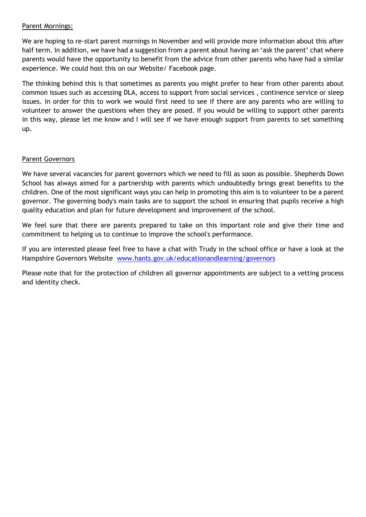## Parent Mornings:

We are hoping to re-start parent mornings in November and will provide more information about this after half term. In addition, we have had a suggestion from a parent about having an 'ask the parent' chat where parents would have the opportunity to benefit from the advice from other parents who have had a similar experience. We could host this on our Website/ Facebook page.

The thinking behind this is that sometimes as parents you might prefer to hear from other parents about common issues such as accessing DLA, access to support from social services , continence service or sleep issues. In order for this to work we would first need to see if there are any parents who are willing to volunteer to answer the questions when they are posed. If you would be willing to support other parents in this way, please let me know and I will see if we have enough support from parents to set something up.

### Parent Governors

We have several vacancies for parent governors which we need to fill as soon as possible. Shepherds Down School has always aimed for a partnership with parents which undoubtedly brings great benefits to the children. One of the most significant ways you can help in promoting this aim is to volunteer to be a parent governor. The governing body's main tasks are to support the school in ensuring that pupils receive a high quality education and plan for future development and improvement of the school.

We feel sure that there are parents prepared to take on this important role and give their time and commitment to helping us to continue to improve the school's performance.

If you are interested please feel free to have a chat with Trudy in the school office or have a look at the Hampshire Governors Website [www.hants.gov.uk/educationandlearning/governors](http://www.hants.gov.uk/educationandlearning/governors)

Please note that for the protection of children all governor appointments are subject to a vetting process and identity check.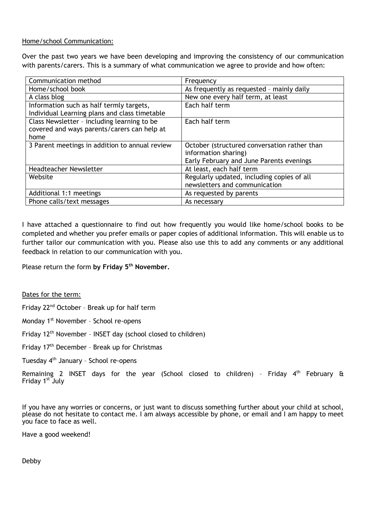#### Home/school Communication:

Over the past two years we have been developing and improving the consistency of our communication with parents/carers. This is a summary of what communication we agree to provide and how often:

| Communication method                           | Frequency                                    |
|------------------------------------------------|----------------------------------------------|
| Home/school book                               | As frequently as requested - mainly daily    |
| A class blog                                   | New one every half term, at least            |
| Information such as half termly targets,       | Each half term                               |
| Individual Learning plans and class timetable  |                                              |
| Class Newsletter - including learning to be    | Each half term                               |
| covered and ways parents/carers can help at    |                                              |
| home                                           |                                              |
| 3 Parent meetings in addition to annual review | October (structured conversation rather than |
|                                                | information sharing)                         |
|                                                | Early February and June Parents evenings     |
| Headteacher Newsletter                         | At least, each half term                     |
| Website                                        | Regularly updated, including copies of all   |
|                                                | newsletters and communication                |
| Additional 1:1 meetings                        | As requested by parents                      |
| Phone calls/text messages                      | As necessary                                 |

I have attached a questionnaire to find out how frequently you would like home/school books to be completed and whether you prefer emails or paper copies of additional information. This will enable us to further tailor our communication with you. Please also use this to add any comments or any additional feedback in relation to our communication with you.

Please return the form **by Friday 5th November.**

Dates for the term:

Friday 22nd October – Break up for half term

Monday 1st November – School re-opens

Friday 12<sup>th</sup> November - INSET day (school closed to children)

Friday 17th December – Break up for Christmas

Tuesday 4th January – School re-opens

Remaining 2 INSET days for the year (School closed to children) - Friday  $4<sup>th</sup>$  February & Friday 1st July

If you have any worries or concerns, or just want to discuss something further about your child at school, please do not hesitate to contact me. I am always accessible by phone, or email and I am happy to meet you face to face as well.

Have a good weekend!

Debby